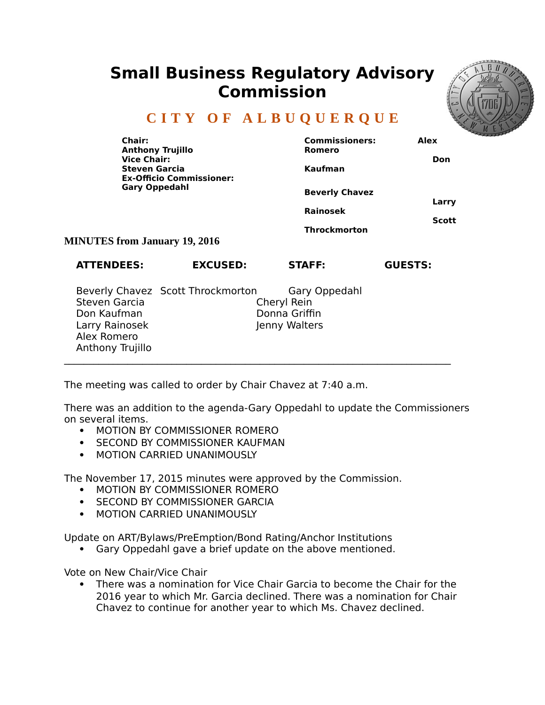## **Small Business Regulatory Advisory Commission**



## **C I T Y O F A L B U Q U E R Q U E**

| Chair:<br><b>Anthony Trujillo</b><br><b>Vice Chair:</b><br><b>Steven Garcia</b><br><b>Ex-Officio Commissioner:</b><br><b>Gary Oppedahl</b> |                 | <b>Commissioners:</b><br>Romero<br>Kaufman                      | Alex<br>Don           |
|--------------------------------------------------------------------------------------------------------------------------------------------|-----------------|-----------------------------------------------------------------|-----------------------|
|                                                                                                                                            |                 | <b>Beverly Chavez</b><br><b>Rainosek</b><br><b>Throckmorton</b> | Larry<br><b>Scott</b> |
| <b>MINUTES from January 19, 2016</b>                                                                                                       |                 |                                                                 |                       |
| <b>ATTENDEES:</b>                                                                                                                          | <b>EXCUSED:</b> | <b>STAFF:</b>                                                   | <b>GUESTS:</b>        |

|                  | Beverly Chavez Scott Throckmorton | Gary Oppedahl |
|------------------|-----------------------------------|---------------|
| Steven Garcia    | Cheryl Rein                       |               |
| Don Kaufman      |                                   | Donna Griffin |
| Larry Rainosek   |                                   | Jenny Walters |
| Alex Romero      |                                   |               |
| Anthony Trujillo |                                   |               |
|                  |                                   |               |

The meeting was called to order by Chair Chavez at 7:40 a.m.

There was an addition to the agenda-Gary Oppedahl to update the Commissioners on several items.

- **MOTION BY COMMISSIONER ROMERO**
- **SECOND BY COMMISSIONER KAUFMAN**
- MOTION CARRIED UNANIMOUSLY

The November 17, 2015 minutes were approved by the Commission.

- **MOTION BY COMMISSIONER ROMERO**
- **SECOND BY COMMISSIONER GARCIA**
- **MOTION CARRIED UNANIMOUSLY**

Update on ART/Bylaws/PreEmption/Bond Rating/Anchor Institutions

Gary Oppedahl gave a brief update on the above mentioned.

Vote on New Chair/Vice Chair

 There was a nomination for Vice Chair Garcia to become the Chair for the 2016 year to which Mr. Garcia declined. There was a nomination for Chair Chavez to continue for another year to which Ms. Chavez declined.